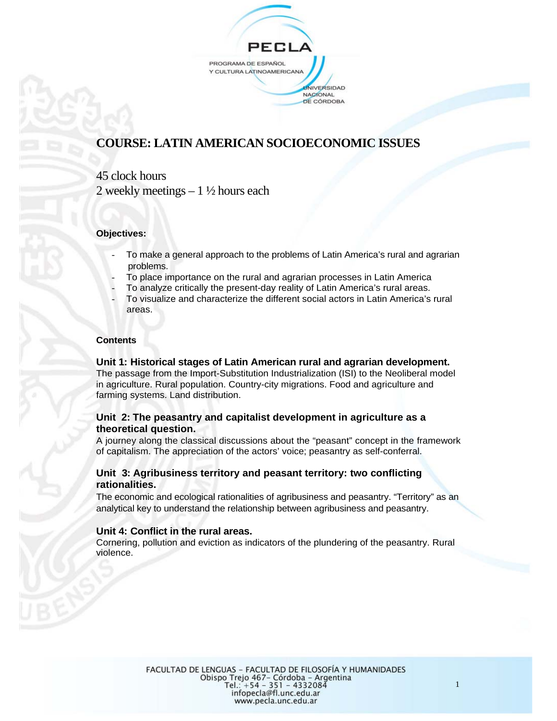

# **COURSE: LATIN AMERICAN SOCIOECONOMIC ISSUES**

## 45 clock hours

2 weekly meetings  $-1\frac{1}{2}$  hours each

#### **Objectives:**

- To make a general approach to the problems of Latin America's rural and agrarian problems.
- To place importance on the rural and agrarian processes in Latin America
- To analyze critically the present-day reality of Latin America's rural areas.
- To visualize and characterize the different social actors in Latin America's rural areas.

#### **Contents**

#### **Unit 1: Historical stages of Latin American rural and agrarian development.**  The passage from the Import-Substitution Industrialization (ISI) to the Neoliberal model in agriculture. Rural population. Country-city migrations. Food and agriculture and farming systems. Land distribution.

#### **Unit 2: The peasantry and capitalist development in agriculture as a theoretical question.**

A journey along the classical discussions about the "peasant" concept in the framework of capitalism. The appreciation of the actors' voice; peasantry as self-conferral.

#### **Unit 3: Agribusiness territory and peasant territory: two conflicting rationalities.**

The economic and ecological rationalities of agribusiness and peasantry. "Territory" as an analytical key to understand the relationship between agribusiness and peasantry.

#### **Unit 4: Conflict in the rural areas.**

Cornering, pollution and eviction as indicators of the plundering of the peasantry. Rural violence.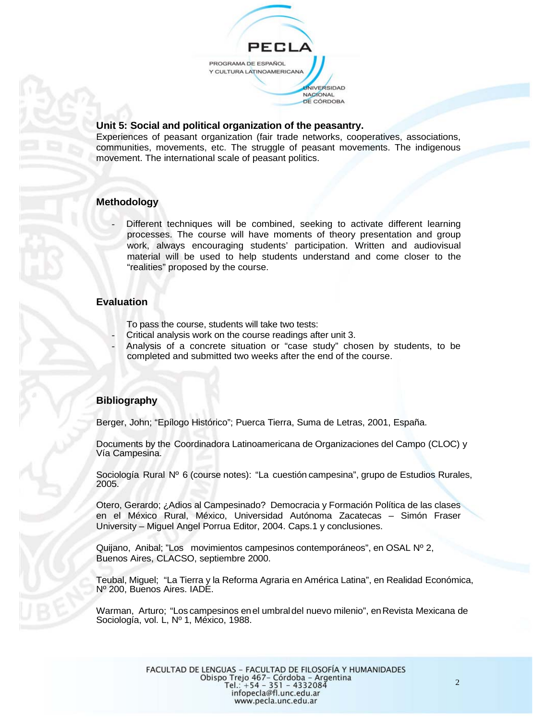

#### **Unit 5: Social and political organization of the peasantry.**

Experiences of peasant organization (fair trade networks, cooperatives, associations, communities, movements, etc. The struggle of peasant movements. The indigenous movement. The international scale of peasant politics.

#### **Methodology**

Different techniques will be combined, seeking to activate different learning processes. The course will have moments of theory presentation and group work, always encouraging students' participation. Written and audiovisual material will be used to help students understand and come closer to the "realities" proposed by the course.

#### **Evaluation**

- To pass the course, students will take two tests:
- Critical analysis work on the course readings after unit 3.
- Analysis of a concrete situation or "case study" chosen by students, to be completed and submitted two weeks after the end of the course.

#### **Bibliography**

Berger, John; "Epílogo Histórico"; Puerca Tierra, Suma de Letras, 2001, España.

Documents by the Coordinadora Latinoamericana de Organizaciones del Campo (CLOC) y Vía Campesina.

Sociología Rural Nº 6 (course notes): "La cuestión campesina", grupo de Estudios Rurales, 2005.

Otero, Gerardo; ¿Adios al Campesinado? Democracia y Formación Política de las clases en el México Rural, México, Universidad Autónoma Zacatecas – Simón Fraser University – Miguel Angel Porrua Editor, 2004. Caps.1 y conclusiones.

Quijano, Anibal; "Los movimientos campesinos contemporáneos", en OSAL Nº 2, Buenos Aires, CLACSO, septiembre 2000.

Teubal, Miguel; "La Tierra y la Reforma Agraria en América Latina", en Realidad Económica, Nº 200, Buenos Aires. IADE.

Warman, Arturo; "Los campesinos enel umbraldel nuevo milenio", enRevista Mexicana de Sociología, vol. L, Nº 1, México, 1988.